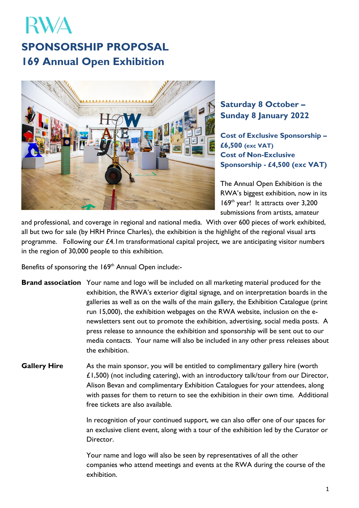## RWA **SPONSORSHIP PROPOSAL 169 Annual Open Exhibition**



## **Saturday 8 October – Sunday 8 January 2022**

**Cost of Exclusive Sponsorship – £6,500 (exc VAT) Cost of Non-Exclusive Sponsorship - £4,500 (exc VAT)**

The Annual Open Exhibition is the RWA's biggest exhibition, now in its 169 th year! It attracts over 3,200 submissions from artists, amateur

and professional, and coverage in regional and national media. With over 600 pieces of work exhibited, all but two for sale (by HRH Prince Charles), the exhibition is the highlight of the regional visual arts programme. Following our  $£4$ . Im transformational capital project, we are anticipating visitor numbers in the region of 30,000 people to this exhibition.

Benefits of sponsoring the 169<sup>th</sup> Annual Open include:-

- **Brand association** Your name and logo will be included on all marketing material produced for the exhibition, the RWA's exterior digital signage, and on interpretation boards in the galleries as well as on the walls of the main gallery, the Exhibition Catalogue (print run 15,000), the exhibition webpages on the RWA website, inclusion on the enewsletters sent out to promote the exhibition, advertising, social media posts. A press release to announce the exhibition and sponsorship will be sent out to our media contacts. Your name will also be included in any other press releases about the exhibition.
- **Gallery Hire** As the main sponsor, you will be entitled to complimentary gallery hire (worth £1,500) (not including catering), with an introductory talk/tour from our Director, Alison Bevan and complimentary Exhibition Catalogues for your attendees, along with passes for them to return to see the exhibition in their own time. Additional free tickets are also available.

In recognition of your continued support, we can also offer one of our spaces for an exclusive client event, along with a tour of the exhibition led by the Curator or Director.

Your name and logo will also be seen by representatives of all the other companies who attend meetings and events at the RWA during the course of the exhibition.